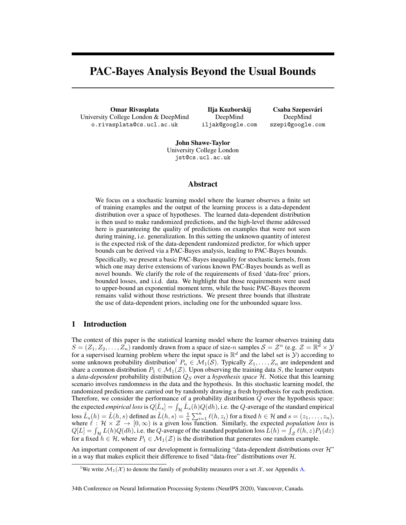# <span id="page-0-3"></span>PAC-Bayes Analysis Beyond the Usual Bounds

Omar Rivasplata University College London & DeepMind o.rivasplata@cs.ucl.ac.uk

Ilja Kuzborskij DeepMind iljak@google.com

Csaba Szepesvári DeepMind szepi@google.com

John Shawe-Taylor University College London jst@cs.ucl.ac.uk

# Abstract

<span id="page-0-4"></span><span id="page-0-1"></span>We focus on a stochastic learning model where the learner observes a finite set of training examples and the output of the learning process is a data-dependent distribution over a space of hypotheses. The learned data-dependent distribution is then used to make randomized predictions, and the high-level theme addressed here is guaranteeing the quality of predictions on examples that were not seen during training, i.e. generalization. In this setting the unknown quantity of interest is the expected risk of the data-dependent randomized predictor, for which upper bounds can be derived via a PAC-Bayes analysis, leading to PAC-Bayes bounds.

Specifically, we present a basic PAC-Bayes inequality for stochastic kernels, from which one may derive extensions of various known PAC-Bayes bounds as well as novel bounds. We clarify the role of the requirements of fixed 'data-free' priors, bounded losses, and i.i.d. data. We highlight that those requirements were used to upper-bound an exponential moment term, while the basic PAC-Bayes theorem remains valid without those restrictions. We present three bounds that illustrate the use of data-dependent priors, including one for the unbounded square loss.

# <span id="page-0-2"></span>1 Introduction

The context of this paper is the statistical learning model where the learner observes training data  $S = (Z_1, Z_2, \ldots, Z_n)$  randomly drawn from a space of size-*n* samples  $S = \mathcal{Z}^n$  (e.g.  $\mathcal{Z} = \mathbb{R}^d \times \mathcal{Y}$ for a supervised learning problem where the input space is  $\mathbb{R}^d$  and the label set is  $\tilde{y}$ ) according to some unknown probability distribution<sup>1</sup>  $P_n \in M_1(S)$ . Typically  $Z_1, \ldots, Z_n$  are independent and share a common distribution  $P_1 \in \mathcal{M}_1(\mathcal{Z})$ . Upon observing the training data *S*, the learner outputs a *data-dependent* probability distribution *Q<sup>S</sup>* over a *hypothesis space H*. Notice that this learning scenario involves randomness in the data and the hypothesis. In this stochastic learning model, the randomized predictions are carried out by randomly drawing a fresh hypothesis for each prediction. Therefore, we consider the performance of a probability distribution *Q* over the hypothesis space: the expected *empirical loss* is  $Q[\hat{L}_s] = \int_{\mathcal{H}} \hat{L}_s(h) Q(dh)$ , i.e. the *Q*-average of the standard empirical loss  $\hat{L}_s(h) = \hat{L}(h, s)$  defined as  $\hat{L}(h, s) = \frac{1}{n} \sum_{i=1}^n \ell(h, z_i)$  for a fixed  $h \in \mathcal{H}$  and  $s = (z_1, \dots, z_n)$ , where  $\ell : \mathcal{H} \times \mathcal{Z} \to [0, \infty)$  is a given loss function. Similarly, the expected *population loss* is  $Q[L] = \int_{\mathcal{H}} L(h)Q(dh)$ , i.e. the *Q*-average of the standard population loss  $L(h) = \int_{\mathcal{Z}} \ell(h, z)P_1(dz)$ for a fixed  $h \in \mathcal{H}$ , where  $P_1 \in \mathcal{M}_1(\mathcal{Z})$  is the distribution that generates one random example.

An important component of our development is formalizing "data-dependent distributions over *H*" in a way that makes explicit their difference to fixed "data-free" distributions over *H*.

<span id="page-0-5"></span><span id="page-0-0"></span><sup>&</sup>lt;sup>1</sup>We write  $\mathcal{M}_1(\mathcal{X})$  to denote the family of probability measures over a set  $\mathcal{X}$ , see Appendix [A.](#page-0-1)

<sup>34</sup>th Conference on Neural Information Processing Systems (NeurIPS 2020), Vancouver, Canada.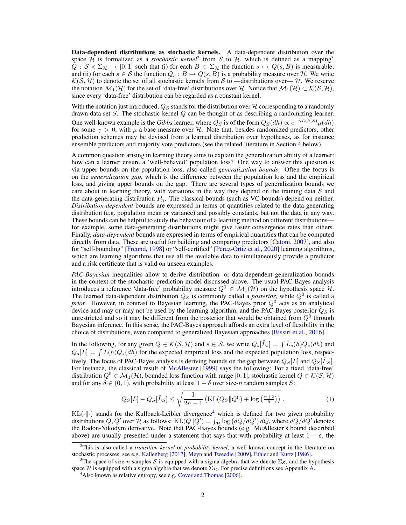Data-dependent distributions as stochastic kernels. A data-dependent distribution over the space *H* is formalized as a *stochastic kernel*<sup>[2](#page-1-0)</sup> from *S* to *H*, which is defined as a mapping<sup>[3](#page-1-1)</sup>  $Q : S \times \Sigma_{\mathcal{H}} \to [0,1]$  such that (i) for each  $B \in \Sigma_{\mathcal{H}}$  the function  $s \mapsto Q(s, B)$  is measurable; and (ii) for each  $s \in S$  the function  $Q_s : B \mapsto Q(s, B)$  is a probability measure over *H*. We write  $K(S, H)$  to denote the set of all stochastic kernels from *S* to —distributions over— *H*. We reserve the notation  $M_1(\mathcal{H})$  for the set of 'data-free' distributions over  $\mathcal{H}$ . Notice that  $M_1(\mathcal{H}) \subset \mathcal{K}(\mathcal{S}, \mathcal{H})$ , since every 'data-free' distribution can be regarded as a constant kernel.

With the notation just introduced,  $Q_S$  stands for the distribution over  $H$  corresponding to a randomly drawn data set *S*. The stochastic kernel *Q* can be thought of as describing a randomizing learner. One well-known example is the *Gibbs* learner, where  $Q_S$  is of the form  $Q_S(dh) \propto e^{-\gamma \hat{L}(h,S)} \mu(dh)$ for some  $\gamma > 0$ , with  $\mu$  a base measure over  $\mathcal{H}$ . Note that, besides randomized predictors, other prediction schemes may be devised from a learned distribution over hypotheses, as for instance ensemble predictors and majority vote predictors (see the related literature in Section [4](#page-8-0) below).

A common question arising in learning theory aims to explain the generalization ability of a learner: how can a learner ensure a 'well-behaved' population loss? One way to answer this question is via upper bounds on the population loss, also called *generalization bounds*. Often the focus is on the *generalization gap*, which is the difference between the population loss and the empirical loss, and giving upper bounds on the gap. There are several types of generalization bounds we care about in learning theory, with variations in the way they depend on the training data *S* and the data-generating distribution  $P_n$ . The classical bounds (such as VC-bounds) depend on neither. *Distribution-dependent* bounds are expressed in terms of quantities related to the data-generating distribution (e.g. population mean or variance) and possibly constants, but not the data in any way. These bounds can be helpful to study the behaviour of a learning method on different distributions for example, some data-generating distributions might give faster convergence rates than others. Finally, *data-dependent* bounds are expressed in terms of empirical quantities that can be computed directly from data. These are useful for building and comparing predictors [\[Catoni,](#page-10-0) [2007\]](#page-10-0), and also for "self-bounding" [\[Freund,](#page-10-1) [1998\]](#page-10-1) or "self-certified" [Pérez-Ortiz et al., [2020\]](#page-12-0) learning algorithms, which are learning algorithms that use all the available data to simultaneously provide a predictor and a risk certificate that is valid on unseen examples.

*PAC-Bayesian* inequalities allow to derive distribution- or data-dependent generalization bounds in the context of the stochastic prediction model discussed above. The usual PAC-Bayes analysis introduces a reference 'data-free' probability measure  $Q^0 \in \mathcal{M}_1(\mathcal{H})$  on the hypothesis space  $\mathcal{H}$ . The learned data-dependent distribution  $Q_S$  is commonly called a *posterior*, while  $Q^0$  is called a *prior*. However, in contrast to Bayesian learning, the PAC-Bayes prior *Q*<sup>0</sup> acts as an analytical device and may or may not be used by the learning algorithm, and the PAC-Bayes posterior  $Q_S$  is unrestricted and so it may be different from the posterior that would be obtained from *Q*<sup>0</sup> through Bayesian inference. In this sense, the PAC-Bayes approach affords an extra level of flexibility in the choice of distributions, even compared to generalized Bayesian approaches [\[Bissiri et al.,](#page-9-0) [2016\]](#page-9-0).

In the following, for any given  $Q \in \mathcal{K}(\mathcal{S}, \mathcal{H})$  and  $s \in \mathcal{S}$ , we write  $Q_s[\hat{L}_s] = \int \hat{L}_s(h)Q_s(dh)$  and  $Q_s[L] = \int L(h)Q_s(dh)$  for the expected empirical loss and the expected population loss, respectively. The focus of PAC-Bayes analysis is deriving bounds on the gap between  $Q_S[L]$  and  $Q_S[\hat{L}_S]$ . For instance, the classical result of [McAllester](#page-11-0) [\[1999\]](#page-11-0) says the following: For a fixed 'data-free' distribution  $Q^0 \in \mathcal{M}_1(\mathcal{H})$ , bounded loss function with range [0, 1], stochastic kernel  $Q \in \mathcal{K}(\mathcal{S}, \mathcal{H})$ and for any  $\delta \in (0, 1)$ , with probability at least  $1 - \delta$  over size-*n* random samples *S*:

<span id="page-1-3"></span>
$$
Q_S[L] - Q_S[\hat{L}_S] \le \sqrt{\frac{1}{2n-1} \left( \text{KL}(Q_S || Q^0) + \log\left(\frac{n+2}{\delta}\right) \right)}.
$$
 (1)

 $KL(\cdot||\cdot)$  stands for the Kullback-Leibler divergence<sup>[4](#page-1-2)</sup> which is defined for two given probability distributions *Q*, *Q*<sup>0</sup> over *H* as follows: KL(*Q*|| $\tilde{Q}'$ ) =  $\int_{\mathcal{H}} \log (dQ/dQ') dQ$ , where  $dQ/dQ'$  denotes the Radon-Nikodym derivative. Note that PAC-Bayes bounds (e.g. McAllester's bound described above) are usually presented under a statement that says that with probability at least  $1 - \delta$ , the

<span id="page-1-0"></span><sup>2</sup> This is also called a *transition kernel* or *probability kernel*, a well-known concept in the literature on stochastic processes, see e.g. [Kallenberg](#page-11-1) [\[2017\]](#page-11-1), [Meyn and Tweedie](#page-11-2) [\[2009\]](#page-11-2), [Ethier and Kurtz](#page-10-2) [\[1986\]](#page-10-2).

<span id="page-1-1"></span><sup>&</sup>lt;sup>3</sup>The space of size-*n* samples *S* is equipped with a sigma algebra that we denote  $\Sigma$ *s*, and the hypothesis space *H* is equipped with a sigma algebra that we denote  $\Sigma_{\mathcal{H}}$ . For precise definitions see Appendix [A.](#page-0-1)

<span id="page-1-2"></span><sup>&</sup>lt;sup>4</sup> Also known as relative entropy, see e.g. [Cover and Thomas](#page-10-3) [\[2006\]](#page-10-3).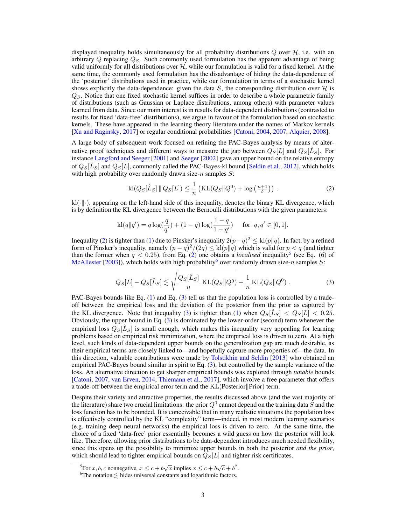displayed inequality holds simultaneously for all probability distributions *Q* over *H*, i.e. with an arbitrary *Q* replacing *QS*. Such commonly used formulation has the apparent advantage of being valid uniformly for all distributions over *H*, while our formulation is valid for a fixed kernel. At the same time, the commonly used formulation has the disadvantage of hiding the data-dependence of the 'posterior' distributions used in practice, while our formulation in terms of a stochastic kernel shows explicitly the data-dependence: given the data  $S$ , the corresponding distribution over  $H$  is *QS*. Notice that one fixed stochastic kernel suffices in order to describe a whole parametric family of distributions (such as Gaussian or Laplace distributions, among others) with parameter values learned from data. Since our main interest is in results for data-dependent distributions (contrasted to results for fixed 'data-free' distributions), we argue in favour of the formulation based on stochastic kernels. These have appeared in the learning theory literature under the names of Markov kernels [\[Xu and Raginsky,](#page-12-1) [2017\]](#page-12-1) or regular conditional probabilities [\[Catoni,](#page-10-4) [2004,](#page-10-4) [2007,](#page-10-0) [Alquier,](#page-9-1) [2008\]](#page-9-1).

A large body of subsequent work focused on refining the PAC-Bayes analysis by means of alternative proof techniques and different ways to measure the gap between  $Q_S[L]$  and  $Q_S[L_S]$ . For instance [Langford and Seeger](#page-11-3) [\[2001\]](#page-11-3) and [Seeger](#page-12-2) [\[2002\]](#page-12-2) gave an upper bound on the relative entropy of  $Q_S[\hat{L}_S]$  and  $Q_S[L]$ , commonly called the PAC-Bayes-kl bound [\[Seldin et al.,](#page-12-3) [2012\]](#page-12-3), which holds with high probability over randomly drawn size-*n* samples *S*:

<span id="page-2-0"></span>
$$
kl(Q_S[\hat{L}_S] || Q_S[L]) \leq \frac{1}{n} \left( KL(Q_S || Q^0) + \log \left( \frac{n+1}{\delta} \right) \right). \tag{2}
$$

 $\kappa(\cdot|\cdot)$ , appearing on the left-hand side of this inequality, denotes the binary KL divergence, which is by definition the KL divergence between the Bernoulli distributions with the given parameters:

$$
kl(q||q') = q \log(\frac{q}{q'}) + (1-q) \log(\frac{1-q}{1-q'}) \quad \text{ for } q, q' \in [0,1].
$$

Inequality [\(2\)](#page-2-0) is tighter than [\(1\)](#page-1-3) due to Pinsker's inequality  $2(p-q)^2 \leq kl(p||q)$ . In fact, by a refined form of Pinsker's inequality, namely  $(p - q)^2/(2q) \leq kl(p||q)$  which is valid for  $p < q$  (and tighter than the former when  $q < 0.25$ ), from Eq. [\(2\)](#page-2-0) one obtains a *localised* inequality<sup>5</sup> (see Eq. (6) of [McAllester](#page-11-4) [\[2003\]](#page-11-4)), which holds with high probability<sup>6</sup> over randomly drawn size- $n$  samples *S*:

<span id="page-2-3"></span>
$$
Q_S[L] - Q_S[\hat{L}_S] \lesssim \sqrt{\frac{Q_S[\hat{L}_S]}{n} \text{ KL}(Q_S||Q^0)} + \frac{1}{n} \text{KL}(Q_S||Q^0) .
$$
 (3)

PAC-Bayes bounds like Eq. [\(1\)](#page-1-3) and Eq. [\(3\)](#page-2-3) tell us that the population loss is controlled by a tradeoff between the empirical loss and the deviation of the posterior from the prior as captured by the KL divergence. Note that inequality [\(3\)](#page-2-3) is tighter than [\(1\)](#page-1-3) when  $Q_S[\hat{L}_S] < Q_S[L] < 0.25$ . Obviously, the upper bound in Eq. [\(3\)](#page-2-3) is dominated by the lower-order (second) term whenever the empirical loss  $Q<sub>S</sub>[L<sub>S</sub>]$  is small enough, which makes this inequality very appealing for learning problems based on empirical risk minimization, where the empirical loss is driven to zero. At a high level, such kinds of data-dependent upper bounds on the generalization gap are much desirable, as their empirical terms are closely linked to—and hopefully capture more properties of—the data. In this direction, valuable contributions were made by [Tolstikhin and Seldin](#page-12-4) [\[2013\]](#page-12-4) who obtained an empirical PAC-Bayes bound similar in spirit to Eq. [\(3\)](#page-2-3), but controlled by the sample variance of the loss. An alternative direction to get sharper empirical bounds was explored through *tunable* bounds [\[Catoni,](#page-10-0) [2007,](#page-10-0) [van Erven,](#page-12-5) [2014,](#page-12-5) [Thiemann et al.,](#page-12-6) [2017\]](#page-12-6), which involve a free parameter that offers a trade-off between the empirical error term and the  $KL(Posterior||Prior)$  term.

Despite their variety and attractive properties, the results discussed above (and the vast majority of the literature) share two crucial limitations: the prior  $Q^0$  cannot depend on the training data  $\ddot{S}$  and the loss function has to be bounded. It is conceivable that in many realistic situations the population loss is effectively controlled by the KL "complexity" term—indeed, in most modern learning scenarios (e.g. training deep neural networks) the empirical loss is driven to zero. At the same time, the choice of a fixed 'data-free' prior essentially becomes a wild guess on how the posterior will look like. Therefore, allowing prior distributions to be data-dependent introduces much needed flexibility, since this opens up the possibility to minimize upper bounds in both the posterior *and the prior*, which should lead to tighter empirical bounds on  $\overline{Q}_S[L]$  and tighter risk certificates.

<span id="page-2-1"></span><sup>&</sup>lt;sup>5</sup>For *x*, *b*, *c* nonnegative,  $x \le c + b\sqrt{x}$  implies  $x \le c + b\sqrt{c} + b^2$ .

<span id="page-2-2"></span> ${}^{6}$ The notation  $\lesssim$  hides universal constants and logarithmic factors.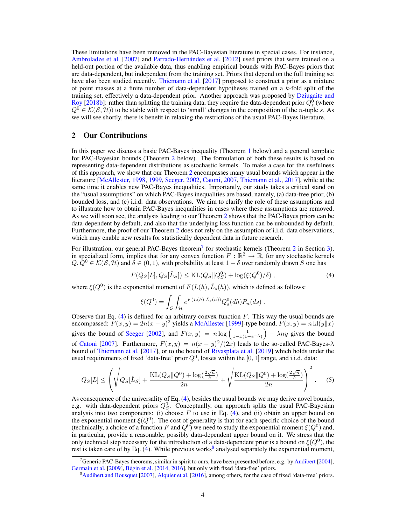These limitations have been removed in the PAC-Bayesian literature in special cases. For instance, [Ambroladze et al.](#page-9-2) [\[2007\]](#page-9-2) and Parrado-Hernández et al. [\[2012\]](#page-12-7) used priors that were trained on a held-out portion of the available data, thus enabling empirical bounds with PAC-Bayes priors that are data-dependent, but independent from the training set. Priors that depend on the full training set have also been studied recently. [Thiemann et al.](#page-12-6) [\[2017\]](#page-12-6) proposed to construct a prior as a mixture of point masses at a finite number of data-dependent hypotheses trained on a *k*-fold split of the training set, effectively a data-dependent prior. Another approach was proposed by [Dziugaite and](#page-10-5) [Roy](#page-10-5) [\[2018b\]](#page-10-5): rather than splitting the training data, they require the data-dependent prior  $Q_s^0$  (where  $Q^0 \in K(S, H)$ ) to be stable with respect to 'small' changes in the composition of the *n*-tuple *s*. As we will see shortly, there is benefit in relaxing the restrictions of the usual PAC-Bayes literature.

# <span id="page-3-3"></span>2 Our Contributions

In this paper we discuss a basic PAC-Bayes inequality (Theorem [1](#page-6-0) below) and a general template for PAC-Bayesian bounds (Theorem [2](#page-7-0) below). The formulation of both these results is based on representing data-dependent distributions as stochastic kernels. To make a case for the usefulness of this approach, we show that our Theorem [2](#page-7-0) encompasses many usual bounds which appear in the literature [\[McAllester,](#page-11-5) [1998,](#page-11-5) [1999,](#page-11-0) [Seeger,](#page-12-2) [2002,](#page-12-2) [Catoni,](#page-10-0) [2007,](#page-10-0) [Thiemann et al.,](#page-12-6) [2017\]](#page-12-6), while at the same time it enables new PAC-Bayes inequalities. Importantly, our study takes a critical stand on the "usual assumptions" on which PAC-Bayes inequalities are based, namely, (a) data-free prior, (b) bounded loss, and (c) i.i.d. data observations. We aim to clarify the role of these assumptions and to illustrate how to obtain PAC-Bayes inequalities in cases where these assumptions are removed. As we will soon see, the analysis leading to our Theorem [2](#page-7-0) shows that the PAC-Bayes priors can be data-dependent by default, and also that the underlying loss function can be unbounded by default. Furthermore, the proof of our Theorem [2](#page-7-0) does not rely on the assumption of i.i.d. data observations, which may enable new results for statistically dependent data in future research.

For illustration, our general PAC-Bayes theorem<sup>7</sup> for stochastic kernels (Theorem [2](#page-7-0) in Section [3\)](#page-6-1), in specialized form, implies that for any convex function  $F : \mathbb{R}^2 \to \mathbb{R}$ , for any stochastic kernels  $Q, Q^0 \in \mathcal{K}(\mathcal{S}, \mathcal{H})$  and  $\overline{\delta} \in (0, 1)$ , with probability at least  $1 - \delta$  over randomly drawn *S* one has

<span id="page-3-1"></span>
$$
F(Q_S[L], Q_S[\hat{L}_S]) \le \text{KL}(Q_S || Q_S^0) + \log(\xi(Q^0)/\delta) \,,\tag{4}
$$

where  $\xi(Q^0)$  is the exponential moment of  $F(L(h), \hat{L}_s(h))$ , which is defined as follows:

$$
\xi(Q^0) = \int_{\mathcal{S}} \int_{\mathcal{H}} e^{F(L(h), \hat{L}_s(h))} Q_s^0(dh) P_n(ds) .
$$

Observe that Eq. [\(4\)](#page-3-1) is defined for an arbitrary convex function *F*. This way the usual bounds are encompassed:  $\overline{F}(x, y) = 2n(x - y)^2$  yields a [McAllester](#page-11-0) [\[1999\]](#page-11-0)-type bound,  $F(x, y) = n \text{ kl}(y||x)$ gives the bound of [Seeger](#page-12-2) [\[2002\]](#page-12-2), and  $F(x, y) = n \log \left( \frac{1}{1 - x(1 - e^{-\lambda})} \right)$  $\int -\lambda ny$  gives the bound of [Catoni](#page-10-0) [\[2007\]](#page-10-0). Furthermore,  $F(x, y) = n(x - y)^2/(2x)$  leads to the so-called PAC-Bayes- $\lambda$ bound of [Thiemann et al.](#page-12-6) [\[2017\]](#page-12-6), or to the bound of [Rivasplata et al.](#page-12-8) [\[2019\]](#page-12-8) which holds under the usual requirements of fixed 'data-free' prior  $Q<sup>0</sup>$ , losses within the [0, 1] range, and i.i.d. data:

$$
Q_S[L] \le \left(\sqrt{Q_S[\hat{L}_S] + \frac{\text{KL}(Q_S||Q^0) + \log(\frac{2\sqrt{n}}{\delta})}{2n}} + \sqrt{\frac{\text{KL}(Q_S||Q^0) + \log(\frac{2\sqrt{n}}{\delta})}{2n}}\right)^2. \tag{5}
$$

As consequence of the universality of Eq. [\(4\)](#page-3-1), besides the usual bounds we may derive novel bounds, e.g. with data-dependent priors  $Q_S^0$ . Conceptually, our approach splits the usual PAC-Bayesian analysis into two components: (i) choose  $F$  to use in Eq. [\(4\)](#page-3-1), and (ii) obtain an upper bound on the exponential moment  $\xi(Q^0)$ . The cost of generality is that for each specific choice of the bound (technically, a choice of a function *F* and  $Q^0$ ) we need to study the exponential moment  $\xi(Q^0)$  and, in particular, provide a reasonable, possibly data-dependent upper bound on it. We stress that the only technical step necessary for the introduction of a data-dependent prior is a bound on  $\xi(Q^0)$ , the rest is taken care of by Eq. [\(4\)](#page-3-1). While previous works<sup>[8](#page-3-2)</sup> analysed separately the exponential moment,

<span id="page-3-0"></span><sup>&</sup>lt;sup>7</sup> Generic PAC-Bayes theorems, similar in spirit to ours, have been presented before, e.g. by [Audibert](#page-9-3) [\[2004\]](#page-9-3), [Germain et al.](#page-10-6) [\[2009\]](#page-10-6), Bégin et al. [\[2014,](#page-9-4) [2016\]](#page-9-5), but only with fixed 'data-free' priors.

<span id="page-3-2"></span><sup>&</sup>lt;sup>8</sup> [Audibert and Bousquet](#page-9-6) [\[2007\]](#page-9-6), [Alquier et al.](#page-9-7) [\[2016\]](#page-9-7), among others, for the case of fixed 'data-free' priors.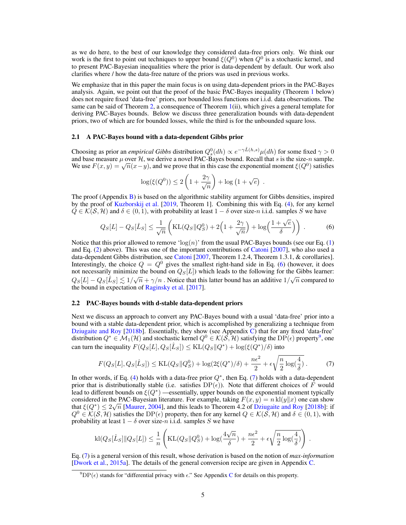as we do here, to the best of our knowledge they considered data-free priors only. We think our work is the first to point out techniques to upper bound  $\xi(Q^0)$  when  $Q^0$  is a stochastic kernel, and to present PAC-Bayesian inequalities where the prior is data-dependent by default. Our work also clarifies where / how the data-free nature of the priors was used in previous works.

We emphasize that in this paper the main focus is on using data-dependent priors in the PAC-Bayes analysis. Again, we point out that the proof of the basic PAC-Bayes inequality (Theorem [1](#page-6-0) below) does not require fixed 'data-free' priors, nor bounded loss functions nor i.i.d. data observations. The same can be said of Theorem [2,](#page-7-0) a consequence of Theorem  $1(i)$  $1(i)$ , which gives a general template for deriving PAC-Bayes bounds. Below we discuss three generalization bounds with data-dependent priors, two of which are for bounded losses, while the third is for the unbounded square loss.

#### 2.1 A PAC-Bayes bound with a data-dependent Gibbs prior

Choosing as prior an *empirical Gibbs* distribution  $Q_s^0(dh) \propto e^{-\gamma \hat{L}(h,s)} \mu(dh)$  for some fixed  $\gamma > 0$ and base measure  $\mu$  over  $\mathcal{H}$ , we derive a novel PAC-Bayes bound. Recall that *s* is the size-*n* sample. We use  $F(x, y) = \sqrt{n(x-y)}$ , and we prove that in this case the exponential moment  $\xi(Q^0)$  satisfies

<span id="page-4-0"></span>
$$
\log(\xi(Q^0)) \leq 2\left(1 + \frac{2\gamma}{\sqrt{n}}\right) + \log\left(1 + \sqrt{e}\right) .
$$

The proof (Appendix [B\)](#page-0-2) is based on the algorithmic stability argument for Gibbs densities, inspired by the proof of [Kuzborskij et al.](#page-11-6) [\[2019,](#page-11-6) Theorem 1]. Combining this with Eq. [\(4\)](#page-3-1), for any kernel  $Q \in \mathcal{K}(\mathcal{S}, \mathcal{H})$  and  $\delta \in (0, 1)$ , with probability at least  $1 - \delta$  over size-*n* i.i.d. samples *S* we have

$$
Q_S[L] - Q_S[\hat{L}_S] \le \frac{1}{\sqrt{n}} \left( \text{KL}(Q_S || Q_S^0) + 2\left(1 + \frac{2\gamma}{\sqrt{n}}\right) + \log\left(\frac{1 + \sqrt{e}}{\delta}\right) \right) \,. \tag{6}
$$

Notice that this prior allowed to remove ' $log(n)$ ' from the usual PAC-Bayes bounds (see our Eq. [\(1\)](#page-1-3) and Eq. [\(2\)](#page-2-0) above). This was one of the important contributions of [Catoni](#page-10-0) [\[2007\]](#page-10-0), who also used a data-dependent Gibbs distribution, see [Catoni](#page-10-0) [\[2007,](#page-10-0) Theorem 1.2.4, Theorem 1.3.1, & corollaries]. Interestingly, the choice  $Q = Q^0$  gives the smallest right-hand side in Eq. [\(6\)](#page-4-0) (however, it does not necessarily minimize the bound on  $Q<sub>S</sub>[L]$ ) which leads to the following for the Gibbs learner:  $Q_S[L] - Q_S[\hat{L}_S] \lesssim 1/\sqrt{n} + \gamma/n$ . Notice that this latter bound has an additive  $1/\sqrt{n}$  compared to the bound in expectation of [Raginsky et al.](#page-12-9) [\[2017\]](#page-12-9).

#### 2.2 PAC-Bayes bounds with d-stable data-dependent priors

Next we discuss an approach to convert any PAC-Bayes bound with a usual 'data-free' prior into a bound with a stable data-dependent prior, which is accomplished by generalizing a technique from [Dziugaite and Roy](#page-10-5) [\[2018b\]](#page-10-5). Essentially, they show (see Appendix [C\)](#page-0-3) that for any fixed 'data-free' distribution  $Q^* \in \mathcal{M}_1(\mathcal{H})$  and stochastic kernel  $Q^0 \in \mathcal{K}(\mathcal{S}, \mathcal{H})$  satisfying the DP( $\epsilon$ ) property<sup>9</sup>, one can turn the inequality  $F(Q_S[L], Q_S[\hat{L}_S]) \leq \text{KL}(Q_S||Q^*) + \log(\xi(Q^*)/\delta)$  into

<span id="page-4-2"></span>
$$
F(Q_S[L], Q_S[\hat{L}_S]) \le \text{KL}(Q_S || Q_S^0) + \log(2\xi(Q^*)/\delta) + \frac{n\epsilon^2}{2} + \epsilon \sqrt{\frac{n}{2} \log(\frac{4}{\delta})}.
$$
 (7)

In other words, if Eq. [\(4\)](#page-3-1) holds with a data-free prior  $Q^*$ , then Eq. [\(7\)](#page-4-2) holds with a data-dependent prior that is distributionally stable (i.e. satisfies  $DP(\epsilon)$ ). Note that different choices of *F* would lead to different bounds on  $\xi(Q^*)$  —essentially, upper bounds on the exponential moment typically considered in the PAC-Bayesian literature. For example, taking  $F(x, y) = n k l(y||x)$  one can show that  $\xi(Q^*) \leq 2\sqrt{n}$  [\[Maurer,](#page-11-7) [2004\]](#page-11-7), and this leads to Theorem 4.2 of [Dziugaite and Roy](#page-10-5) [\[2018b\]](#page-10-5): if  $Q^0 \in \mathcal{K}(\mathcal{S}, \mathcal{H})$  satisfies the DP( $\epsilon$ ) property, then for any kernel  $Q \in \mathcal{K}(\mathcal{S}, \mathcal{H})$  and  $\delta \in (0, 1)$ , with probability at least  $1 - \delta$  over size-*n* i.i.d. samples *S* we have

$$
kl(Q_S[\hat{L}_S]||Q_S[L]) \leq \frac{1}{n} \left( KL(Q_S||Q_S^0) + log(\frac{4\sqrt{n}}{\delta}) + \frac{n\epsilon^2}{2} + \epsilon \sqrt{\frac{n}{2}log(\frac{4}{\delta})} \right) .
$$

Eq. [\(7\)](#page-4-2) is a general version of this result, whose derivation is based on the notion of *max-information* [\[Dwork et al.,](#page-10-7) [2015a\]](#page-10-7). The details of the general conversion recipe are given in Appendix [C.](#page-0-3)

<span id="page-4-1"></span> ${}^{9}DP(\epsilon)$  stands for "differential privacy with  $\epsilon$ ." See Appendix [C](#page-0-3) for details on this property.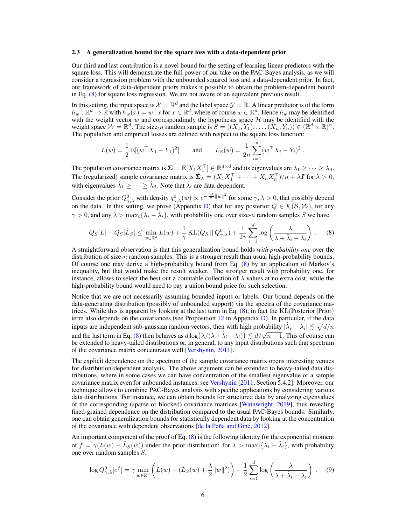#### 2.3 A generalization bound for the square loss with a data-dependent prior

Our third and last contribution is a novel bound for the setting of learning linear predictors with the square loss. This will demonstrate the full power of our take on the PAC-Bayes analysis, as we will consider a regression problem with the unbounded squared loss and a data-dependent prior. In fact, our framework of data-dependent priors makes it possible to obtain the problem-dependent bound in Eq. [\(8\)](#page-5-0) for square loss regression. We are not aware of an equivalent previous result.

In this setting, the input space is  $\mathcal{X} = \mathbb{R}^d$  and the label space  $\mathcal{Y} = \mathbb{R}$ . A linear predictor is of the form  $h_w : \mathbb{R}^d \to \mathbb{R}$  with  $h_w(x) = w^\top x$  for  $x \in \mathbb{R}^d$ , where of course  $w \in \mathbb{R}^d$ . Hence  $h_w$  may be identified with the weight vector *w* and correspondingly the hypothesis space *H* may be identified with the weight space  $W = \mathbb{R}^d$ . The size-*n* random sample is  $S = ((X_1, Y_1), \ldots, (X_n, Y_n)) \in (\mathbb{R}^d \times \mathbb{R})^n$ . The population and empirical losses are defined with respect to the square loss function:

$$
L(w) = \frac{1}{2} \mathbb{E}[(w^\top X_1 - Y_1)^2] \quad \text{and} \quad \hat{L}_S(w) = \frac{1}{2n} \sum_{i=1}^n (w^\top X_i - Y_i)^2.
$$

The population covariance matrix is  $\Sigma = \mathbb{E}[X_1 X_1^\top] \in \mathbb{R}^{d \times d}$  and its eigenvalues are  $\lambda_1 \geq \cdots \geq \lambda_d$ . The (regularized) sample covariance matrix is  $\hat{\Sigma}_{\lambda} = (X_1 X_1^{\top} + \dots + X_n X_n^{\top})/n + \lambda \mathbf{I}$  for  $\lambda > 0$ , with eigenvalues  $\hat{\lambda}_1 \geq \cdots \geq \hat{\lambda}_d$ . Note that  $\hat{\lambda}_i$  are data-dependent.

Consider the prior  $Q_{\gamma,\lambda}^0$  with density  $q_{\gamma,\lambda}^0(w) \propto e^{-\frac{\gamma \lambda}{2}||w||^2}$  for some  $\gamma,\lambda > 0$ , that possibly depend on the data. In this setting, we prove (Appendix [D\)](#page-0-3) that for any posterior  $Q \in \mathcal{K}(\mathcal{S}, \mathcal{W})$ , for any  $\gamma > 0$ , and any  $\lambda > \max_i {\lambda_i - \hat{\lambda_i}}$ , with probability one over size-*n* random samples *S* we have

<span id="page-5-0"></span>
$$
Q_S[L] - Q_S[\hat{L}_S] \le \min_{w \in \mathbb{R}^d} L(w) + \frac{1}{\gamma} \text{KL}(Q_S || Q_{\gamma,\lambda}^0) + \frac{1}{2\gamma} \sum_{i=1}^d \log \left( \frac{\lambda}{\lambda + \hat{\lambda}_i - \lambda_i} \right) . \tag{8}
$$

A straightforward observation is that this generalization bound holds *with probability one* over the distribution of size-*n* random samples. This is a stronger result than usual high-probability bounds. Of course one may derive a high-probability bound from Eq. [\(8\)](#page-5-0) by an application of Markov's inequality, but that would make the result weaker. The stronger result with probability one, for instance, allows to select the best out a countable collection of  $\lambda$  values at no extra cost, while the high-probability bound would need to pay a union bound price for such selection.

Notice that we are not necessarily assuming bounded inputs or labels. Our bound depends on the data-generating distribution (possibly of unbounded support) via the spectra of the covariance matrices. While this is apparent by looking at the last term in Eq.  $(8)$ , in fact the KL(Posterior||Prior) term also depends on the covariances (see Proposition [12](#page-0-4) in Appendix [D\)](#page-0-3). In particular, if the data inputs are independent sub-gaussian random vectors, then with high probability  $|\hat{\lambda}_i - \lambda_i| \leq \sqrt{d/n}$ and the last term in Eq. [\(8\)](#page-5-0) then behaves as  $d \log(\lambda/(\lambda + \lambda_i - \lambda_i)) \le d/\sqrt{n-1}$ . This of course can be extended to heavy-tailed distributions or, in general, to any input distributions such that spectrum of the covariance matrix concentrates well [\[Vershynin,](#page-12-10) [2011\]](#page-12-10).

The explicit dependence on the spectrum of the sample covariance matrix opens interesting venues for distribution-dependent analysis. The above argument can be extended to heavy-tailed data distributions, where in some cases we can have concentration of the smallest eigenvalue of a sample covariance matrix even for unbounded instances, see [Vershynin](#page-12-10) [\[2011,](#page-12-10) Section 5.4.2]. Moreover, our technique allows to combine PAC-Bayes analysis with specific applications by considering various data distributions. For instance, we can obtain bounds for structured data by analyzing eigenvalues of the corresponding (sparse or blocked) covariance matrices [\[Wainwright,](#page-12-11) [2019\]](#page-12-11), thus revealing fined-grained dependence on the distribution compared to the usual PAC-Bayes bounds. Similarly, one can obtain generalization bounds for statistically dependent data by looking at the concentration of the covariance with dependent observations  $\left[$  de la Peña and Giné, [2012\]](#page-10-8).

An important component of the proof of Eq. [\(8\)](#page-5-0) is the following identity for the exponential moment of  $f = \gamma(L(w) - \hat{L}_S(w))$  under the prior distribution: for  $\lambda > \max_i {\lambda_i - \hat{\lambda_i}}$ , with probability one over random samples *S*,

<span id="page-5-1"></span>
$$
\log Q_{\gamma,\lambda}^0[e^f] = \gamma \min_{w \in \mathbb{R}^d} \left( L(w) - (\hat{L}_S(w) + \frac{\lambda}{2} ||w||^2) \right) + \frac{1}{2} \sum_{i=1}^d \log \left( \frac{\lambda}{\lambda + \hat{\lambda}_i - \lambda_i} \right) . \tag{9}
$$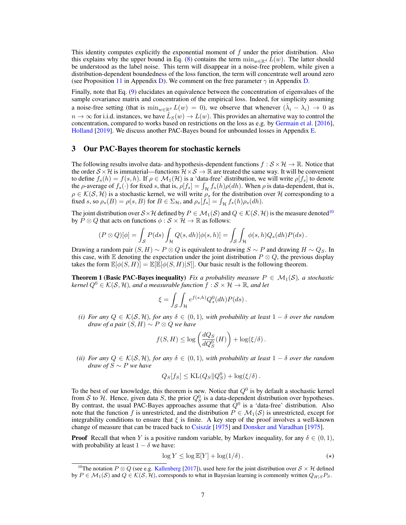This identity computes explicitly the exponential moment of *f* under the prior distribution. Also this explains why the upper bound in Eq. [\(8\)](#page-5-0) contains the term  $\min_{w \in \mathbb{R}^d} L(w)$ . The latter should be understood as the label noise. This term will disappear in a noise-free problem, while given a distribution-dependent boundedness of the loss function, the term will concentrate well around zero (see Proposition [11](#page-0-5) in Appendix [D\)](#page-0-3). We comment on the free parameter  $\gamma$  in Appendix [D.](#page-0-3)

Finally, note that Eq. [\(9\)](#page-5-1) elucidates an equivalence between the concentration of eigenvalues of the sample covariance matrix and concentration of the empirical loss. Indeed, for simplicity assuming a noise-free setting (that is  $\min_{w \in \mathbb{R}^d} L(w) = 0$ ), we observe that whenever  $(\lambda_i - \lambda_i) \to 0$  as  $n \to \infty$  for i.i.d. instances, we have  $\hat{L}_S(w) \to L(w)$ . This provides an alternative way to control the concentration, compared to works based on restrictions on the loss as e.g. by [Germain et al.](#page-10-9) [\[2016\]](#page-10-9), [Holland](#page-11-8) [\[2019\]](#page-11-8). We discuss another PAC-Bayes bound for unbounded losses in Appendix [E.](#page-0-3)

## <span id="page-6-1"></span>3 Our PAC-Bayes theorem for stochastic kernels

The following results involve data- and hypothesis-dependent functions  $f : \mathcal{S} \times \mathcal{H} \to \mathbb{R}$ . Notice that the order  $S \times H$  is immaterial—functions  $H \times S \to \mathbb{R}$  are treated the same way. It will be convenient to define  $f_s(h) = f(s, h)$ . If  $\rho \in \mathcal{M}_1(\mathcal{H})$  is a 'data-free' distribution, we will write  $\rho[f_s]$  to denote the  $\rho$ -average of  $f_s(\cdot)$  for fixed *s*, that is,  $\rho[f_s] = \int_{\mathcal{H}} f_s(h)\rho(dh)$ . When  $\rho$  is data-dependent, that is,  $\rho \in \mathcal{K}(\mathcal{S}, \mathcal{H})$  is a stochastic kernel, we will write  $\rho_s$  for the distribution over  $\mathcal H$  corresponding to a fixed *s*, so  $\rho_s(B) = \rho(s, B)$  for  $B \in \Sigma_{\mathcal{H}}$ , and  $\rho_s[f_s] = \int_{\mathcal{H}} f_s(h)\rho_s(dh)$ .

The joint distribution over  $S \times H$  defined by  $P \in M_1(S)$  and  $Q \in K(S, H)$  is the measure denoted<sup>[10](#page-6-2)</sup> by  $P \otimes Q$  that acts on functions  $\phi : \mathcal{S} \times \mathcal{H} \to \mathbb{R}$  as follows:

$$
(P \otimes Q)[\phi] = \int_{\mathcal{S}} P(ds) \int_{\mathcal{H}} Q(s, dh)[\phi(s, h)] = \int_{\mathcal{S}} \int_{\mathcal{H}} \phi(s, h) Q_s(dh) P(ds).
$$

Drawing a random pair  $(S, H) \sim P \otimes Q$  is equivalent to drawing  $S \sim P$  and drawing  $H \sim Q_S$ . In this case, with  $\mathbb E$  denoting the expectation under the joint distribution  $P \otimes Q$ , the previous display takes the form  $\mathbb{E}[\phi(S, H)] = \mathbb{E}[\mathbb{E}[\phi(S, H)|S]]$ . Our basic result is the following theorem.

<span id="page-6-0"></span>**Theorem 1 (Basic PAC-Bayes inequality)** *Fix a probability measure*  $P \in \mathcal{M}_1(\mathcal{S})$ *, a stochastic kernel*  $Q^0 \in \mathcal{K}(\mathcal{S}, \mathcal{H})$ , and a measurable function  $f : \mathcal{S} \times \mathcal{H} \to \mathbb{R}$ , and let

$$
\xi = \int_{\mathcal{S}} \int_{\mathcal{H}} e^{f(s,h)} Q_s^0(dh) P(ds) .
$$

*(i)* For any  $Q \in \mathcal{K}(\mathcal{S}, \mathcal{H})$ *, for any*  $\delta \in (0, 1)$ *, with probability at least*  $1 - \delta$  *over the random draw of a pair*  $(S, H) \sim P \otimes Q$  *we have* 

$$
f(S, H) \leq \log \left( \frac{dQ_S}{dQ_S^0}(H) \right) + \log(\xi/\delta).
$$

*(ii)* For any  $Q \in \mathcal{K}(\mathcal{S}, \mathcal{H})$ , for any  $\delta \in (0, 1)$ , with probability at least  $1 - \delta$  over the random *draw of*  $S \sim P$  *we have* 

$$
Q_S[f_S] \leq \text{KL}(Q_S || Q_S^0) + \log(\xi/\delta).
$$

To the best of our knowledge, this theorem is new. Notice that *Q*<sup>0</sup> is by default a stochastic kernel from *S* to *H*. Hence, given data *S*, the prior  $Q_S^0$  is a data-dependent distribution over hypotheses. By contrast, the usual PAC-Bayes approaches assume that  $\overline{Q}^0$  is a 'data-free' distribution. Also note that the function *f* is unrestricted, and the distribution  $P \in M_1(\mathcal{S})$  is unrestricted, except for integrability conditions to ensure that  $\zeta$  is finite. A key step of the proof involves a well-known change of measure that can be traced back to Csiszár<sup>[\[1975\]](#page-10-11)</sup> and [Donsker and Varadhan](#page-10-11) [1975].

**Proof** Recall that when *Y* is a positive random variable, by Markov inequality, for any  $\delta \in (0, 1)$ , with probability at least  $1 - \delta$  we have:

<span id="page-6-3"></span>
$$
\log Y \le \log \mathbb{E}[Y] + \log(1/\delta). \tag{(*)}
$$

<span id="page-6-2"></span><sup>&</sup>lt;sup>10</sup>The notation  $P \otimes Q$  (see e.g. [Kallenberg](#page-11-1) [\[2017\]](#page-11-1)), used here for the joint distribution over  $S \times H$  defined  $\mathbf{b}$   $\mathbf{y}$   $P \in \mathcal{M}_1(\mathcal{S})$  and  $Q \in \mathcal{K}(\mathcal{S}, \mathcal{H})$ , corresponds to what in Bayesian learning is commonly written  $Q_{H|S}P_S$ .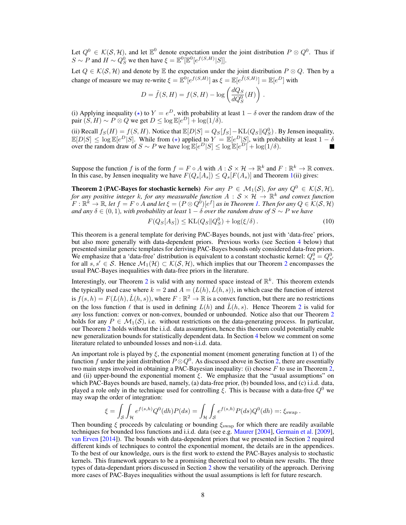Let  $Q^0 \in \mathcal{K}(\mathcal{S}, \mathcal{H})$ , and let  $\mathbb{E}^0$  denote expectation under the joint distribution  $P \otimes Q^0$ . Thus if  $S \sim P$  and  $H \sim Q_S^0$  we then have  $\xi = \mathbb{E}^0[\mathbb{E}^0[e^{f(S,H)}|S]].$ 

Let  $Q \in \mathcal{K}(\mathcal{S}, \mathcal{H})$  and denote by  $\mathbb E$  the expectation under the joint distribution  $P \otimes Q$ . Then by a change of measure we may re-write  $\xi = \mathbb{E}^0[e^{f(S,H)}]$  as  $\xi = \mathbb{E}[e^{\tilde{f}(S,H)}] = \mathbb{E}[e^D]$  with

$$
D = \tilde{f}(S, H) = f(S, H) - \log \left( \frac{dQ_S}{dQ_S^0}(H) \right).
$$

(i) Applying inequality ( $\star$ ) to  $Y = e^D$ , with probability at least  $1 - \delta$  over the random draw of the pair  $(S, H) \sim P \otimes Q$  we get  $D \leq \log \mathbb{E}[e^D] + \log(1/\delta)$ .

(ii) Recall  $f_S(H) = f(S, H)$ . Notice that  $\mathbb{E}[D|S] = Q_S[f_S] - \text{KL}(Q_S||Q_S^0)$ . By Jensen inequality,  $\mathbb{E}[D|S] \leq \log \mathbb{E}[e^D|S]$ . While from (\*) applied to  $Y = \mathbb{E}[e^D|S]$ , with probability at least  $1 - \delta$ over the random draw of  $S \sim P$  we have  $\log \mathbb{E}[e^D|S] \le \log \mathbb{E}[e^D] + \log(1/\delta)$ .

Suppose the function *f* is of the form  $f = F \circ A$  with  $A : \mathcal{S} \times \mathcal{H} \to \mathbb{R}^k$  and  $F : \mathbb{R}^k \to \mathbb{R}$  convex. In this case, by Jensen inequality we have  $F(Q_s[A_s]) \leq Q_s[F(A_s)]$  and Theorem [1\(](#page-6-0)ii) gives:

<span id="page-7-0"></span>**Theorem 2 (PAC-Bayes for stochastic kernels)** *For any*  $P \in \mathcal{M}_1(\mathcal{S})$ *, for any*  $Q^0 \in \mathcal{K}(\mathcal{S}, \mathcal{H})$ *, for any positive integer k, for any measurable function*  $A: S \times H \to \mathbb{R}^k$  *and convex function*  $\widetilde{F}:\mathbb{R}^k\to\mathbb{R}$ , let  $f=F\circ A$  and let  $\xi=(P\otimes Q^0)[e^f]$  as in Theorem [1.](#page-6-0) Then for any  $Q\in\mathcal{K}(\mathcal{S},\mathcal{H})$ *and any*  $\delta \in (0,1)$ *, with probability at least*  $1 - \delta$  *over the random draw of*  $S \sim P$  *we have* 

$$
F(Q_S[A_S]) \le \text{KL}(Q_S \| Q_S^0) + \log(\xi/\delta). \tag{10}
$$

This theorem is a general template for deriving PAC-Bayes bounds, not just with 'data-free' priors, but also more generally with data-dependent priors. Previous works (see Section [4](#page-8-0) below) that presented similar generic templates for deriving PAC-Bayes bounds only considered data-free priors. We emphasize that a 'data-free' distribution is equivalent to a constant stochastic kernel:  $Q_s^0 = Q_{s'}^0$ for all  $s, s' \in S$ . Hence  $\mathcal{M}_1(\mathcal{H}) \subset \mathcal{K}(\mathcal{S}, \mathcal{H})$ , which implies that our Theorem [2](#page-7-0) encompasses the usual PAC-Bayes inequalities with data-free priors in the literature.

Interestingly, our Theorem [2](#page-7-0) is valid with any normed space instead of R*<sup>k</sup>*. This theorem extends the typically used case where  $k = 2$  and  $A = (L(h), \hat{L}(h, s))$ , in which case the function of interest is  $f(s, h) = F(L(h), \hat{L}(h, s))$ , where  $F : \mathbb{R}^2 \to \mathbb{R}$  is a convex function, but there are no restrictions on the loss function  $\ell$  that is used in defining  $L(h)$  and  $\hat{L}(h, s)$ . Hence Theorem [2](#page-7-0) is valid for *any* loss function: convex or non-convex, bounded or unbounded. Notice also that our Theorem [2](#page-7-0) holds for any  $P \in \mathcal{M}_1(\mathcal{S})$ , i.e. without restrictions on the data-generating process. In particular, our Theorem [2](#page-7-0) holds without the i.i.d. data assumption, hence this theorem could potentially enable new generalization bounds for statistically dependent data. In Section [4](#page-8-0) below we comment on some literature related to unbounded losses and non-i.i.d. data.

An important role is played by  $\xi$ , the exponential moment (moment generating function at 1) of the function *f* under the joint distribution  $P \otimes Q^0$ . As discussed above in Section [2,](#page-3-3) there are essentially two main steps involved in obtaining a PAC-Bayesian inequality: (i) choose *F* to use in Theorem [2,](#page-7-0) and (ii) upper-bound the exponential moment  $\xi$ . We emphasize that the "usual assumptions" on which PAC-Bayes bounds are based, namely, (a) data-free prior, (b) bounded loss, and (c) i.i.d. data, played a role only in the technique used for controlling  $\xi$ . This is because with a data-free  $Q^0$  we may swap the order of integration:

$$
\xi = \int_{\mathcal{S}} \int_{\mathcal{H}} e^{f(s,h)} Q^0(dh) P(ds) = \int_{\mathcal{H}} \int_{\mathcal{S}} e^{f(s,h)} P(ds) Q^0(dh) =: \xi_{\text{swap}}.
$$

Then bounding  $\zeta$  proceeds by calculating or bounding  $\zeta_{\text{swap}}$  for which there are readily available techniques for bounded loss functions and i.i.d. data (see e.g. [Maurer](#page-11-7) [\[2004\]](#page-11-7), [Germain et al.](#page-10-6) [\[2009\]](#page-10-6), [van Erven](#page-12-5) [\[2014\]](#page-12-5)). The bounds with data-dependent priors that we presented in Section [2](#page-3-3) required different kinds of techniques to control the exponential moment, the details are in the appendices. To the best of our knowledge, ours is the first work to extend the PAC-Bayes analysis to stochastic kernels. This framework appears to be a promising theoretical tool to obtain new results. The three types of data-dependant priors discussed in Section [2](#page-3-3) show the versatility of the approach. Deriving more cases of PAC-Bayes inequalities without the usual assumptions is left for future research.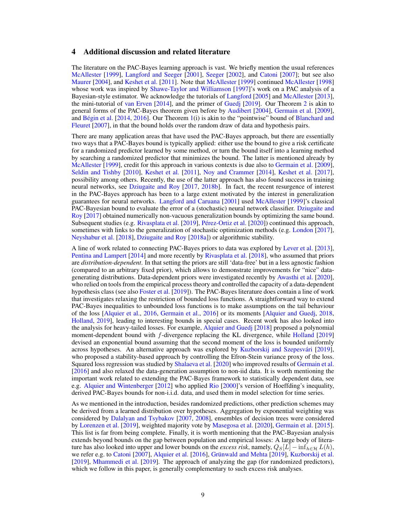# <span id="page-8-0"></span>4 Additional discussion and related literature

The literature on the PAC-Bayes learning approach is vast. We briefly mention the usual references [McAllester](#page-11-0) [\[1999\]](#page-11-0), [Langford and Seeger](#page-11-3) [\[2001\]](#page-11-3), [Seeger](#page-12-2) [\[2002\]](#page-12-2), and [Catoni](#page-10-0) [\[2007\]](#page-10-0); but see also [Maurer](#page-11-7) [\[2004\]](#page-11-7), and [Keshet et al.](#page-11-9) [\[2011\]](#page-11-9). Note that [McAllester](#page-11-0) [\[1999\]](#page-11-0) continued [McAllester](#page-11-5) [\[1998\]](#page-11-5) whose work was inspired by [Shawe-Taylor and Williamson](#page-12-12) [\[1997\]](#page-12-12)'s work on a PAC analysis of a Bayesian-style estimator. We acknowledge the tutorials of [Langford](#page-11-10) [\[2005\]](#page-11-10) and [McAllester](#page-11-11) [\[2013\]](#page-11-11), the mini-tutorial of [van Erven](#page-12-5) [\[2014\]](#page-12-5), and the primer of [Guedj](#page-11-12) [\[2019\]](#page-11-12). Our Theorem [2](#page-7-0) is akin to general forms of the PAC-Bayes theorem given before by [Audibert](#page-9-3) [\[2004\]](#page-9-3), [Germain et al.](#page-10-6) [\[2009\]](#page-10-6), and Bégin et al.  $[2014, 2016]$  $[2014, 2016]$  $[2014, 2016]$ . Our Theorem [1\(](#page-6-0)i) is akin to the "pointwise" bound of [Blanchard and](#page-10-12) [Fleuret](#page-10-12) [\[2007\]](#page-10-12), in that the bound holds over the random draw of data and hypothesis pairs.

There are many application areas that have used the PAC-Bayes approach, but there are essentially two ways that a PAC-Bayes bound is typically applied: either use the bound to give a risk certificate for a randomized predictor learned by some method, or turn the bound itself into a learning method by searching a randomized predictor that minimizes the bound. The latter is mentioned already by [McAllester](#page-11-0) [\[1999\]](#page-11-0), credit for this approach in various contexts is due also to [Germain et al.](#page-10-6) [\[2009\]](#page-10-6), [Seldin and Tishby](#page-12-13) [\[2010\]](#page-12-13), [Keshet et al.](#page-11-9) [\[2011\]](#page-11-9), [Noy and Crammer](#page-12-14) [\[2014\]](#page-12-14), [Keshet et al.](#page-11-13) [\[2017\]](#page-11-13), possibility among others. Recently, the use of the latter approach has also found success in training neural networks, see [Dziugaite and Roy](#page-10-13) [\[2017,](#page-10-13) [2018b\]](#page-10-5). In fact, the recent resurgence of interest in the PAC-Bayes approach has been to a large extent motivated by the interest in generalization guarantees for neural networks. [Langford and Caruana](#page-11-14) [\[2001\]](#page-11-14) used [McAllester](#page-11-0) [\[1999\]](#page-11-0)'s classical PAC-Bayesian bound to evaluate the error of a (stochastic) neural network classifier. [Dziugaite and](#page-10-13) [Roy](#page-10-13) [\[2017\]](#page-10-13) obtained numerically non-vacuous generalization bounds by optimizing the same bound. Subsequent studies (e.g. [Rivasplata et al.](#page-12-8) [\[2019\]](#page-12-8), Pérez-Ortiz et al. [\[2020\]](#page-12-0)) continued this approach, sometimes with links to the generalization of stochastic optimization methods (e.g. [London](#page-11-15) [\[2017\]](#page-11-15), [Neyshabur et al.](#page-12-15) [\[2018\]](#page-12-15), [Dziugaite and Roy](#page-10-14) [\[2018a\]](#page-10-14)) or algorithmic stability.

A line of work related to connecting PAC-Bayes priors to data was explored by [Lever et al.](#page-11-16) [\[2013\]](#page-11-16), [Pentina and Lampert](#page-12-16) [\[2014\]](#page-12-16) and more recently by [Rivasplata et al.](#page-12-17) [\[2018\]](#page-12-17), who assumed that priors are *distribution-dependent*. In that setting the priors are still 'data-free' but in a less agnostic fashion (compared to an arbitrary fixed prior), which allows to demonstrate improvements for "nice" datagenerating distributions. Data-dependent priors were investigated recently by [Awasthi et al.](#page-9-8) [\[2020\]](#page-9-8), who relied on tools from the empirical process theory and controlled the capacity of a data-dependent hypothesis class (see also [Foster et al.](#page-10-15) [\[2019\]](#page-10-15)). The PAC-Bayes literature does contain a line of work that investigates relaxing the restriction of bounded loss functions. A straightforward way to extend PAC-Bayes inequalities to unbounded loss functions is to make assumptions on the tail behaviour of the loss [\[Alquier et al.,](#page-9-7) [2016,](#page-9-7) [Germain et al.,](#page-10-9) [2016\]](#page-10-9) or its moments [\[Alquier and Guedj,](#page-9-9) [2018,](#page-9-9) [Holland,](#page-11-8) [2019\]](#page-11-8), leading to interesting bounds in special cases. Recent work has also looked into the analysis for heavy-tailed losses. For example, [Alquier and Guedj](#page-9-9) [\[2018\]](#page-9-9) proposed a polynomial moment-dependent bound with *f*-divergence replacing the KL divergence, while [Holland](#page-11-8) [\[2019\]](#page-11-8) devised an exponential bound assuming that the second moment of the loss is bounded uniformly across hypotheses. An alternative approach was explored by Kuzborskij and Szepesvári [\[2019\]](#page-11-17), who proposed a stability-based approach by controlling the Efron-Stein variance proxy of the loss. Squared loss regression was studied by [Shalaeva et al.](#page-12-18) [\[2020\]](#page-12-18) who improved results of [Germain et al.](#page-10-9) [\[2016\]](#page-10-9) and also relaxed the data-generation assumption to non-iid data. It is worth mentioning the important work related to extending the PAC-Bayes framework to statistically dependent data, see e.g. [Alquier and Wintenberger](#page-9-10) [\[2012\]](#page-9-10) who applied [Rio](#page-12-19) [\[2000\]](#page-12-19)'s version of Hoeffding's inequality, derived PAC-Bayes bounds for non-i.i.d. data, and used them in model selection for time series.

As we mentioned in the introduction, besides randomized predictions, other prediction schemes may be derived from a learned distribution over hypotheses. Aggregation by exponential weighting was considered by [Dalalyan and Tsybakov](#page-10-16) [\[2007,](#page-10-16) [2008\]](#page-10-17), ensembles of decision trees were considered by [Lorenzen et al.](#page-11-18) [\[2019\]](#page-11-18), weighted majority vote by [Masegosa et al.](#page-11-19) [\[2020\]](#page-11-19), [Germain et al.](#page-10-18) [\[2015\]](#page-10-18). This list is far from being complete. Finally, it is worth mentioning that the PAC-Bayesian analysis extends beyond bounds on the gap between population and empirical losses: A large body of literature has also looked into upper and lower bounds on the *excess risk*, namely,  $Q_S[L] - \inf_{h \in \mathcal{H}} L(h)$ , we refer e.g. to [Catoni](#page-10-0) [\[2007\]](#page-10-0), [Alquier et al.](#page-9-7) [\[2016\]](#page-9-7), Grünwald and Mehta [\[2019\]](#page-11-20), [Kuzborskij et al.](#page-11-6) [\[2019\]](#page-12-20), [Mhammedi et al.](#page-12-20) [2019]. The approach of analyzing the gap (for randomized predictors), which we follow in this paper, is generally complementary to such excess risk analyses.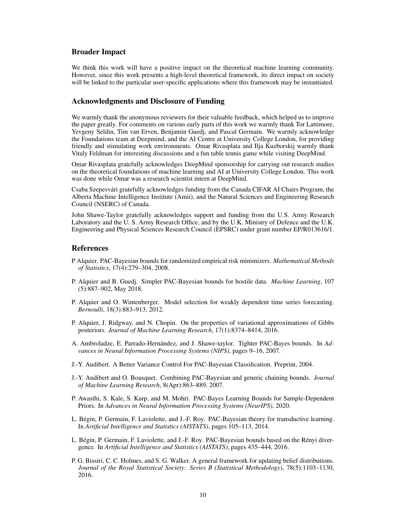## Broader Impact

We think this work will have a positive impact on the theoretical machine learning community. However, since this work presents a high-level theoretical framework, its direct impact on society will be linked to the particular user-specific applications where this framework may be instantiated.

# Acknowledgments and Disclosure of Funding

We warmly thank the anonymous reviewers for their valuable feedback, which helped us to improve the paper greatly. For comments on various early parts of this work we warmly thank Tor Lattimore, Yevgeny Seldin, Tim van Erven, Benjamin Guedj, and Pascal Germain. We warmly acknowledge the Foundations team at Deepmind, and the AI Centre at University College London, for providing friendly and stimulating work environments. Omar Rivasplata and Ilja Kuzborskij warmly thank Vitaly Feldman for interesting discussions and a fun table tennis game while visiting DeepMind.

Omar Rivasplata gratefully acknowledges DeepMind sponsorship for carrying out research studies on the theoretical foundations of machine learning and AI at University College London. This work was done while Omar was a research scientist intern at DeepMind.

Csaba Szepesvari gratefully acknowledges funding from the Canada CIFAR AI Chairs Program, the ´ Alberta Machine Intelligence Institute (Amii), and the Natural Sciences and Engineering Research Council (NSERC) of Canada.

John Shawe-Taylor gratefully acknowledges support and funding from the U.S. Army Research Laboratory and the U. S. Army Research Office, and by the U.K. Ministry of Defence and the U.K. Engineering and Physical Sciences Research Council (EPSRC) under grant number EP/R013616/1.

# References

- <span id="page-9-1"></span>P Alquier. PAC-Bayesian bounds for randomized empirical risk minimizers. *Mathematical Methods of Statistics*, 17(4):279–304, 2008.
- <span id="page-9-9"></span>P. Alquier and B. Guedj. Simpler PAC-Bayesian bounds for hostile data. *Machine Learning*, 107 (5):887–902, May 2018.
- <span id="page-9-10"></span>P. Alquier and O. Wintenberger. Model selection for weakly dependent time series forecasting. *Bernoulli*, 18(3):883–913, 2012.
- <span id="page-9-7"></span>P. Alquier, J. Ridgway, and N. Chopin. On the properties of variational approximations of Gibbs posteriors. *Journal of Machine Learning Research*, 17(1):8374–8414, 2016.
- <span id="page-9-2"></span>A. Ambroladze, E. Parrado-Hernández, and J. Shawe-taylor. Tighter PAC-Bayes bounds. In *Advances in Neural Information Processing Systems (NIPS)*, pages 9–16, 2007.
- <span id="page-9-3"></span>J.-Y. Audibert. A Better Variance Control For PAC-Bayesian Classification. Preprint, 2004.
- <span id="page-9-6"></span>J.-Y. Audibert and O. Bousquet. Combining PAC-Bayesian and generic chaining bounds. *Journal of Machine Learning Research*, 8(Apr):863–889, 2007.
- <span id="page-9-8"></span>P. Awasthi, S. Kale, S. Karp, and M. Mohri. PAC-Bayes Learning Bounds for Sample-Dependent Priors. In *Advances in Neural Information Processing Systems (NeurIPS)*, 2020.
- <span id="page-9-4"></span>L. Begin, P. Germain, F. Laviolette, and J.-F. Roy. PAC-Bayesian theory for transductive learning. ´ In *Artificial Intelligence and Statistics (AISTATS)*, pages 105–113, 2014.
- <span id="page-9-5"></span>L. Bégin, P. Germain, F. Laviolette, and J.-F. Roy. PAC-Bayesian bounds based on the Rényi divergence. In *Artificial Intelligence and Statistics (AISTATS)*, pages 435–444, 2016.
- <span id="page-9-0"></span>P. G. Bissiri, C. C. Holmes, and S. G. Walker. A general framework for updating belief distributions. *Journal of the Royal Statistical Society: Series B (Statistical Methodology)*, 78(5):1103–1130, 2016.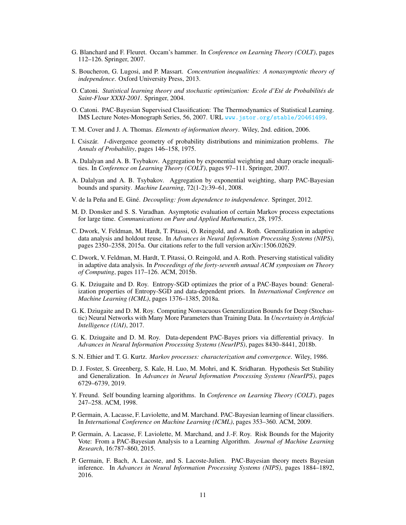- <span id="page-10-12"></span>G. Blanchard and F. Fleuret. Occam's hammer. In *Conference on Learning Theory (COLT)*, pages 112–126. Springer, 2007.
- S. Boucheron, G. Lugosi, and P. Massart. *Concentration inequalities: A nonasymptotic theory of independence*. Oxford University Press, 2013.
- <span id="page-10-4"></span>O. Catoni. *Statistical learning theory and stochastic optimization: Ecole d'Ete de Probabilit ´ es de ´ Saint-Flour XXXI-2001*. Springer, 2004.
- <span id="page-10-0"></span>O. Catoni. PAC-Bayesian Supervised Classification: The Thermodynamics of Statistical Learning. IMS Lecture Notes-Monograph Series, 56, 2007. URL <www.jstor.org/stable/20461499>.
- <span id="page-10-3"></span>T. M. Cover and J. A. Thomas. *Elements of information theory*. Wiley, 2nd. edition, 2006.
- <span id="page-10-10"></span>I. Csiszár. *I*-divergence geometry of probability distributions and minimization problems. *The Annals of Probability*, pages 146–158, 1975.
- <span id="page-10-16"></span>A. Dalalyan and A. B. Tsybakov. Aggregation by exponential weighting and sharp oracle inequalities. In *Conference on Learning Theory (COLT)*, pages 97–111. Springer, 2007.
- <span id="page-10-17"></span>A. Dalalyan and A. B. Tsybakov. Aggregation by exponential weighting, sharp PAC-Bayesian bounds and sparsity. *Machine Learning*, 72(1-2):39–61, 2008.
- <span id="page-10-8"></span>V. de la Peña and E. Giné. *Decoupling: from dependence to independence*. Springer, 2012.
- <span id="page-10-11"></span>M. D. Donsker and S. S. Varadhan. Asymptotic evaluation of certain Markov process expectations for large time. *Communications on Pure and Applied Mathematics*, 28, 1975.
- <span id="page-10-7"></span>C. Dwork, V. Feldman, M. Hardt, T. Pitassi, O. Reingold, and A. Roth. Generalization in adaptive data analysis and holdout reuse. In *Advances in Neural Information Processing Systems (NIPS)*, pages 2350–2358, 2015a. Our citations refer to the full version arXiv:1506.02629.
- C. Dwork, V. Feldman, M. Hardt, T. Pitassi, O. Reingold, and A. Roth. Preserving statistical validity in adaptive data analysis. In *Proceedings of the forty-seventh annual ACM symposium on Theory of Computing*, pages 117–126. ACM, 2015b.
- <span id="page-10-14"></span>G. K. Dziugaite and D. Roy. Entropy-SGD optimizes the prior of a PAC-Bayes bound: Generalization properties of Entropy-SGD and data-dependent priors. In *International Conference on Machine Learning (ICML)*, pages 1376–1385, 2018a.
- <span id="page-10-13"></span>G. K. Dziugaite and D. M. Roy. Computing Nonvacuous Generalization Bounds for Deep (Stochastic) Neural Networks with Many More Parameters than Training Data. In *Uncertainty in Artificial Intelligence (UAI)*, 2017.
- <span id="page-10-5"></span>G. K. Dziugaite and D. M. Roy. Data-dependent PAC-Bayes priors via differential privacy. In *Advances in Neural Information Processing Systems (NeurIPS)*, pages 8430–8441, 2018b.
- <span id="page-10-2"></span>S. N. Ethier and T. G. Kurtz. *Markov processes: characterization and convergence*. Wiley, 1986.
- <span id="page-10-15"></span>D. J. Foster, S. Greenberg, S. Kale, H. Luo, M. Mohri, and K. Sridharan. Hypothesis Set Stability and Generalization. In *Advances in Neural Information Processing Systems (NeurIPS)*, pages 6729–6739, 2019.
- <span id="page-10-1"></span>Y. Freund. Self bounding learning algorithms. In *Conference on Learning Theory (COLT)*, pages 247–258. ACM, 1998.
- <span id="page-10-6"></span>P. Germain, A. Lacasse, F. Laviolette, and M. Marchand. PAC-Bayesian learning of linear classifiers. In *International Conference on Machine Learning (ICML)*, pages 353–360. ACM, 2009.
- <span id="page-10-18"></span>P. Germain, A. Lacasse, F. Laviolette, M. Marchand, and J.-F. Roy. Risk Bounds for the Majority Vote: From a PAC-Bayesian Analysis to a Learning Algorithm. *Journal of Machine Learning Research*, 16:787–860, 2015.
- <span id="page-10-9"></span>P. Germain, F. Bach, A. Lacoste, and S. Lacoste-Julien. PAC-Bayesian theory meets Bayesian inference. In *Advances in Neural Information Processing Systems (NIPS)*, pages 1884–1892, 2016.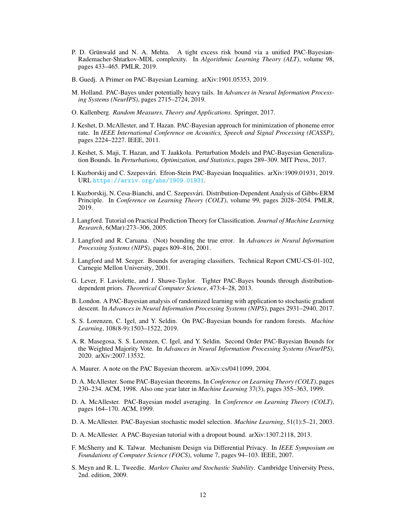- <span id="page-11-20"></span>P. D. Grünwald and N. A. Mehta. A tight excess risk bound via a unified PAC-Bayesian-Rademacher-Shtarkov-MDL complexity. In *Algorithmic Learning Theory (ALT)*, volume 98, pages 433–465. PMLR, 2019.
- <span id="page-11-12"></span>B. Guedj. A Primer on PAC-Bayesian Learning. arXiv:1901.05353, 2019.
- <span id="page-11-8"></span>M. Holland. PAC-Bayes under potentially heavy tails. In *Advances in Neural Information Processing Systems (NeurIPS)*, pages 2715–2724, 2019.
- <span id="page-11-1"></span>O. Kallenberg. *Random Measures, Theory and Applications*. Springer, 2017.
- <span id="page-11-9"></span>J. Keshet, D. McAllester, and T. Hazan. PAC-Bayesian approach for minimization of phoneme error rate. In *IEEE International Conference on Acoustics, Speech and Signal Processing (ICASSP)*, pages 2224–2227. IEEE, 2011.
- <span id="page-11-13"></span>J. Keshet, S. Maji, T. Hazan, and T. Jaakkola. Perturbation Models and PAC-Bayesian Generalization Bounds. In *Perturbations, Optimization, and Statistics*, pages 289–309. MIT Press, 2017.
- <span id="page-11-17"></span>I. Kuzborskij and C. Szepesvari. Efron-Stein PAC-Bayesian Inequalities. arXiv:1909.01931, 2019. ´ URL <https://arxiv.org/abs/1909.01931>.
- <span id="page-11-6"></span>I. Kuzborskij, N. Cesa-Bianchi, and C. Szepesvari. Distribution-Dependent Analysis of Gibbs-ERM ´ Principle. In *Conference on Learning Theory (COLT)*, volume 99, pages 2028–2054. PMLR, 2019.
- <span id="page-11-10"></span>J. Langford. Tutorial on Practical Prediction Theory for Classification. *Journal of Machine Learning Research*, 6(Mar):273–306, 2005.
- <span id="page-11-14"></span>J. Langford and R. Caruana. (Not) bounding the true error. In *Advances in Neural Information Processing Systems (NIPS)*, pages 809–816, 2001.
- <span id="page-11-3"></span>J. Langford and M. Seeger. Bounds for averaging classifiers. Technical Report CMU-CS-01-102, Carnegie Mellon University, 2001.
- <span id="page-11-16"></span>G. Lever, F. Laviolette, and J. Shawe-Taylor. Tighter PAC-Bayes bounds through distributiondependent priors. *Theoretical Computer Science*, 473:4–28, 2013.
- <span id="page-11-15"></span>B. London. A PAC-Bayesian analysis of randomized learning with application to stochastic gradient descent. In *Advances in Neural Information Processing Systems (NIPS)*, pages 2931–2940, 2017.
- <span id="page-11-18"></span>S. S. Lorenzen, C. Igel, and Y. Seldin. On PAC-Bayesian bounds for random forests. *Machine Learning*, 108(8-9):1503–1522, 2019.
- <span id="page-11-19"></span>A. R. Masegosa, S. S. Lorenzen, C. Igel, and Y. Seldin. Second Order PAC-Bayesian Bounds for the Weighted Majority Vote. In *Advances in Neural Information Processing Systems (NeurIPS)*, 2020. arXiv:2007.13532.
- <span id="page-11-7"></span>A. Maurer. A note on the PAC Bayesian theorem. arXiv:cs/0411099, 2004.
- <span id="page-11-5"></span>D. A. McAllester. Some PAC-Bayesian theorems. In *Conference on Learning Theory (COLT)*, pages 230–234. ACM, 1998. Also one year later in *Machine Learning* 37(3), pages 355–363, 1999.
- <span id="page-11-0"></span>D. A. McAllester. PAC-Bayesian model averaging. In *Conference on Learning Theory (COLT)*, pages 164–170. ACM, 1999.
- <span id="page-11-4"></span>D. A. McAllester. PAC-Bayesian stochastic model selection. *Machine Learning*, 51(1):5–21, 2003.
- <span id="page-11-11"></span>D. A. McAllester. A PAC-Bayesian tutorial with a dropout bound. arXiv:1307.2118, 2013.
- F. McSherry and K. Talwar. Mechanism Design via Differential Privacy. In *IEEE Symposium on Foundations of Computer Science (FOCS)*, volume 7, pages 94–103. IEEE, 2007.
- <span id="page-11-2"></span>S. Meyn and R. L. Tweedie. *Markov Chains and Stochastic Stability*. Cambridge University Press, 2nd. edition, 2009.